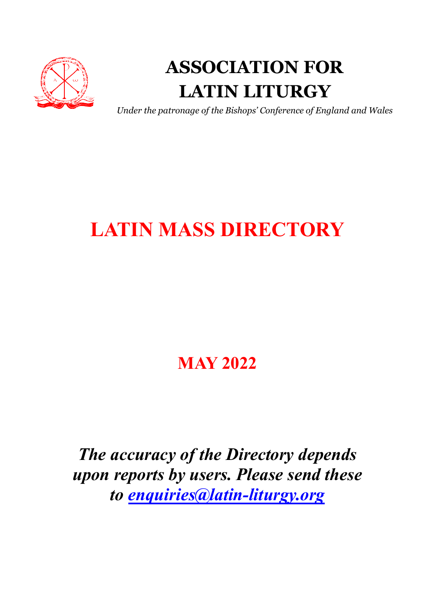

# ASSOCIATION FOR LATIN LITURGY

Under the patronage of the Bishops' Conference of England and Wales

# LATIN MASS DIRECTORY

# MAY 2022

The accuracy of the Directory depends upon reports by users. Please send these to enquiries@latin-liturgy.org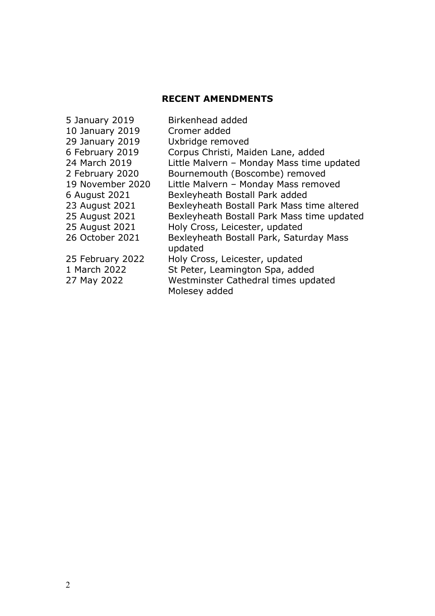### RECENT AMENDMENTS

| 5 January 2019   | Birkenhead added                                     |
|------------------|------------------------------------------------------|
| 10 January 2019  | Cromer added                                         |
| 29 January 2019  | Uxbridge removed                                     |
| 6 February 2019  | Corpus Christi, Maiden Lane, added                   |
| 24 March 2019    | Little Malvern - Monday Mass time updated            |
| 2 February 2020  | Bournemouth (Boscombe) removed                       |
| 19 November 2020 | Little Malvern - Monday Mass removed                 |
| 6 August 2021    | Bexleyheath Bostall Park added                       |
| 23 August 2021   | Bexleyheath Bostall Park Mass time altered           |
| 25 August 2021   | Bexleyheath Bostall Park Mass time updated           |
| 25 August 2021   | Holy Cross, Leicester, updated                       |
| 26 October 2021  | Bexleyheath Bostall Park, Saturday Mass<br>updated   |
| 25 February 2022 | Holy Cross, Leicester, updated                       |
| 1 March 2022     | St Peter, Leamington Spa, added                      |
| 27 May 2022      | Westminster Cathedral times updated<br>Molesey added |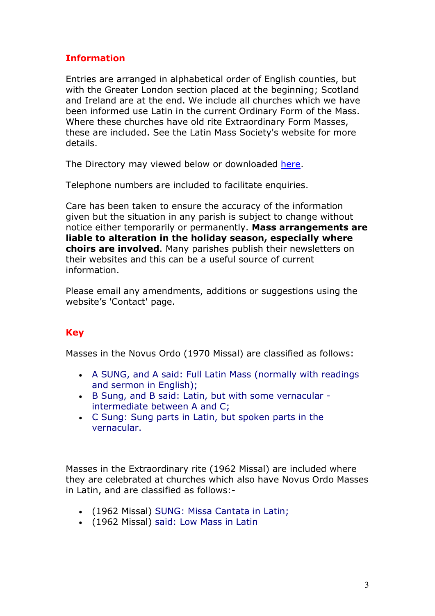### Information

Entries are arranged in alphabetical order of English counties, but with the Greater London section placed at the beginning; Scotland and Ireland are at the end. We include all churches which we have been informed use Latin in the current Ordinary Form of the Mass. Where these churches have old rite Extraordinary Form Masses, these are included. See the Latin Mass Society's website for more details.

The Directory may viewed below or downloaded here.

Telephone numbers are included to facilitate enquiries.

Care has been taken to ensure the accuracy of the information given but the situation in any parish is subject to change without notice either temporarily or permanently. Mass arrangements are liable to alteration in the holiday season, especially where choirs are involved. Many parishes publish their newsletters on their websites and this can be a useful source of current information.

Please email any amendments, additions or suggestions using the website's 'Contact' page.

## **Key**

Masses in the Novus Ordo (1970 Missal) are classified as follows:

- A SUNG, and A said: Full Latin Mass (normally with readings and sermon in English);
- B Sung, and B said: Latin, but with some vernacular intermediate between A and C;
- C Sung: Sung parts in Latin, but spoken parts in the vernacular.

Masses in the Extraordinary rite (1962 Missal) are included where they are celebrated at churches which also have Novus Ordo Masses in Latin, and are classified as follows:-

- (1962 Missal) SUNG: Missa Cantata in Latin;
- (1962 Missal) said: Low Mass in Latin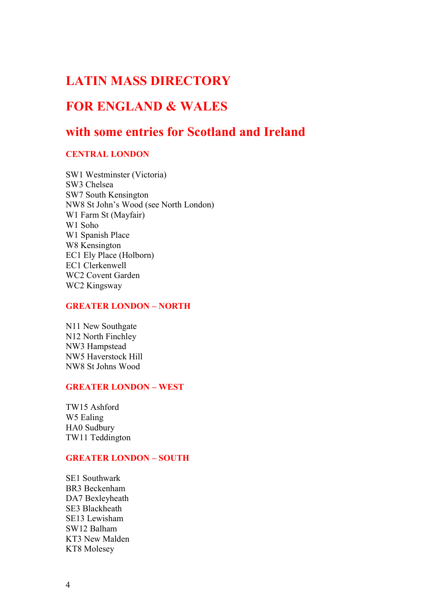# LATIN MASS DIRECTORY

# FOR ENGLAND & WALES

# with some entries for Scotland and Ireland

### CENTRAL LONDON

SW1 Westminster (Victoria) SW3 Chelsea SW7 South Kensington NW8 St John's Wood (see North London) W1 Farm St (Mayfair) W1 Soho W1 Spanish Place W8 Kensington EC1 Ely Place (Holborn) EC1 Clerkenwell WC2 Covent Garden WC2 Kingsway

### GREATER LONDON – NORTH

N11 New Southgate N12 North Finchley NW3 Hampstead NW5 Haverstock Hill NW8 St Johns Wood

### GREATER LONDON – WEST

TW15 Ashford W5 Ealing HA0 Sudbury TW11 Teddington

### GREATER LONDON – SOUTH

SE1 Southwark BR3 Beckenham DA7 Bexleyheath SE3 Blackheath SE13 Lewisham SW12 Balham KT3 New Malden KT8 Molesey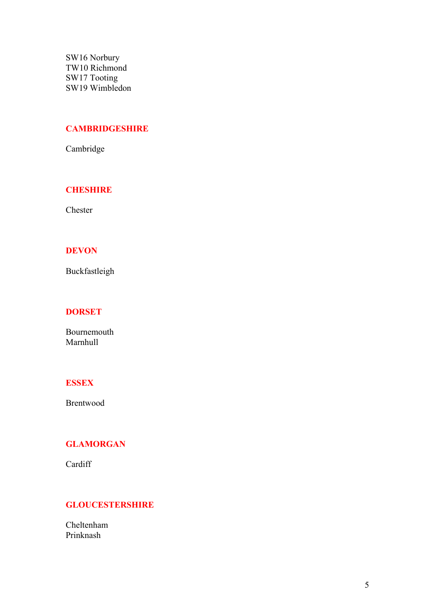SW16 Norbury TW10 Richmond SW17 Tooting SW19 Wimbledon

### **CAMBRIDGESHIRE**

Cambridge

### **CHESHIRE**

Chester

### DEVON

Buckfastleigh

### **DORSET**

Bournemouth Marnhull

### **ESSEX**

Brentwood

### GLAMORGAN

Cardiff

### **GLOUCESTERSHIRE**

Cheltenham Prinknash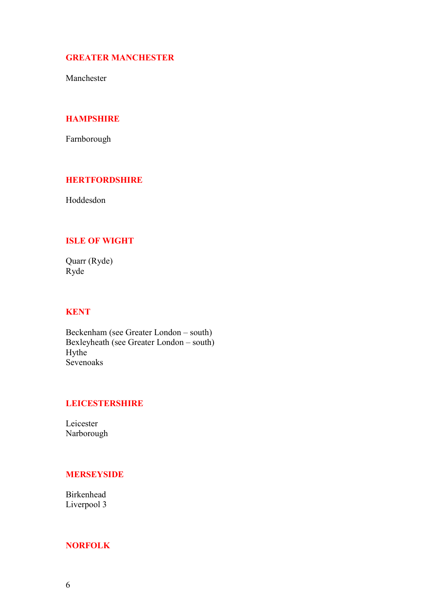### GREATER MANCHESTER

Manchester

### **HAMPSHIRE**

Farnborough

### **HERTFORDSHIRE**

Hoddesdon

### ISLE OF WIGHT

Quarr (Ryde) Ryde

### **KENT**

Beckenham (see Greater London – south) Bexleyheath (see Greater London – south) Hythe Sevenoaks

### LEICESTERSHIRE

Leicester Narborough

### MERSEYSIDE

Birkenhead Liverpool 3

### NORFOLK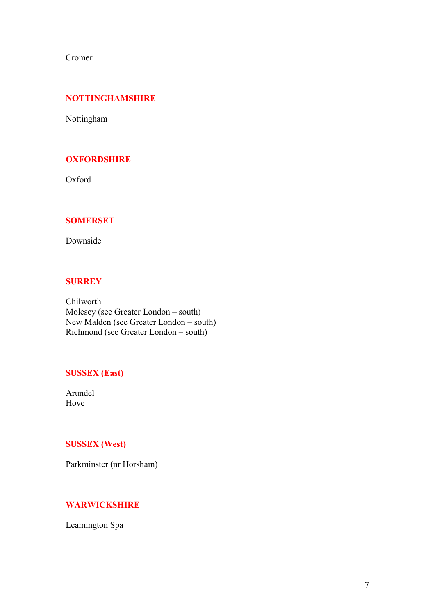Cromer

### NOTTINGHAMSHIRE

Nottingham

### **OXFORDSHIRE**

Oxford

### SOMERSET

Downside

### **SURREY**

Chilworth Molesey (see Greater London – south) New Malden (see Greater London – south) Richmond (see Greater London – south)

### SUSSEX (East)

Arundel Hove

### SUSSEX (West)

Parkminster (nr Horsham)

### **WARWICKSHIRE**

Leamington Spa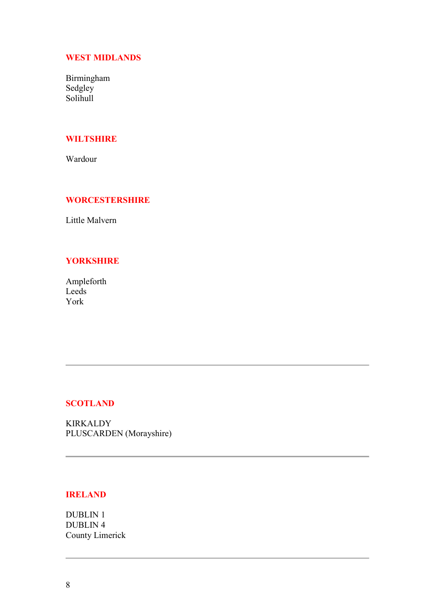### WEST MIDLANDS

Birmingham Sedgley Solihull

### **WILTSHIRE**

Wardour

### **WORCESTERSHIRE**

Little Malvern

### **YORKSHIRE**

Ampleforth Leeds York

### **SCOTLAND**

KIRKALDY PLUSCARDEN (Morayshire)

### IRELAND

DUBLIN 1 DUBLIN 4 County Limerick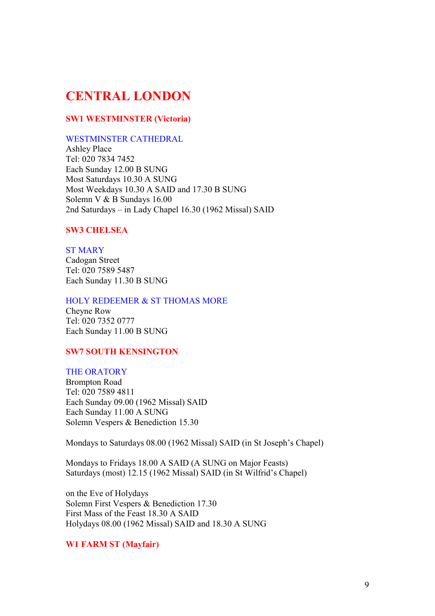# CENTRAL LONDON

### SW1 WESTMINSTER (Victoria)

### WESTMINSTER CATHEDRAL

Ashley Place Tel: 020 7834 7452 Each Sunday 12.00 B SUNG Most Saturdays 10.30 A SUNG Most Weekdays 10.30 A SAID and 17.30 B SUNG Solemn V & B Sundays 16.00 2nd Saturdays – in Lady Chapel 16.30 (1962 Missal) SAID

### SW3 CHELSEA

# ST MARY

Cadogan Street Tel: 020 7589 5487 Each Sunday 11.30 B SUNG

### HOLY REDEEMER & ST THOMAS MORE

Cheyne Row Tel: 020 7352 0777 Each Sunday 11.00 B SUNG

### SW7 SOUTH KENSINGTON

### THE ORATORY

Brompton Road Tel: 020 7589 4811 Each Sunday 09.00 (1962 Missal) SAID Each Sunday 11.00 A SUNG Solemn Vespers & Benediction 15.30

Mondays to Saturdays 08.00 (1962 Missal) SAID (in St Joseph's Chapel)

Mondays to Fridays 18.00 A SAID (A SUNG on Major Feasts) Saturdays (most) 12.15 (1962 Missal) SAID (in St Wilfrid's Chapel)

on the Eve of Holydays Solemn First Vespers & Benediction 17.30 First Mass of the Feast 18.30 A SAID Holydays 08.00 (1962 Missal) SAID and 18.30 A SUNG

### W1 FARM ST (Mayfair)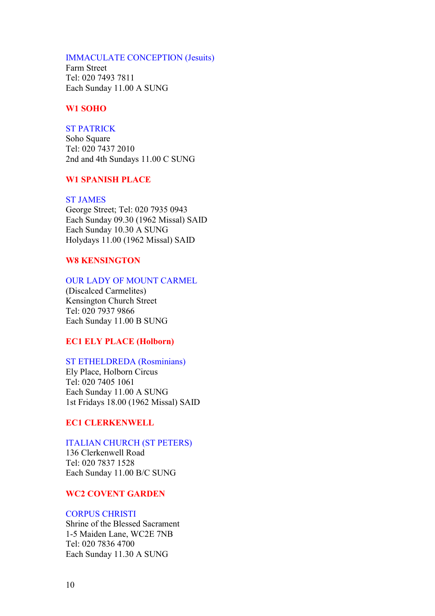### IMMACULATE CONCEPTION (Jesuits)

Farm Street Tel: 020 7493 7811 Each Sunday 11.00 A SUNG

### W1 SOHO

#### ST PATRICK

Soho Square Tel: 020 7437 2010 2nd and 4th Sundays 11.00 C SUNG

### W1 SPANISH PLACE

### ST JAMES

George Street; Tel: 020 7935 0943 Each Sunday 09.30 (1962 Missal) SAID Each Sunday 10.30 A SUNG Holydays 11.00 (1962 Missal) SAID

### W8 KENSINGTON

### OUR LADY OF MOUNT CARMEL

(Discalced Carmelites) Kensington Church Street Tel: 020 7937 9866 Each Sunday 11.00 B SUNG

### EC1 ELY PLACE (Holborn)

### ST ETHELDREDA (Rosminians)

Ely Place, Holborn Circus Tel: 020 7405 1061 Each Sunday 11.00 A SUNG 1st Fridays 18.00 (1962 Missal) SAID

### EC1 CLERKENWELL

### ITALIAN CHURCH (ST PETERS)

136 Clerkenwell Road Tel: 020 7837 1528 Each Sunday 11.00 B/C SUNG

### WC2 COVENT GARDEN

### CORPUS CHRISTI

Shrine of the Blessed Sacrament 1-5 Maiden Lane, WC2E 7NB Tel: 020 7836 4700 Each Sunday 11.30 A SUNG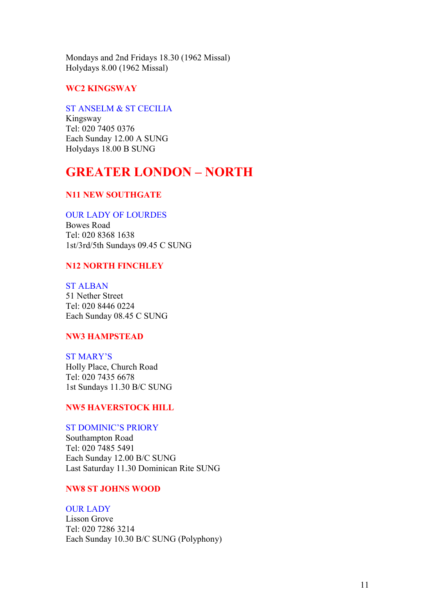Mondays and 2nd Fridays 18.30 (1962 Missal) Holydays 8.00 (1962 Missal)

### WC2 KINGSWAY

### ST ANSELM & ST CECILIA

Kingsway Tel: 020 7405 0376 Each Sunday 12.00 A SUNG Holydays 18.00 B SUNG

# GREATER LONDON – NORTH

### N11 NEW SOUTHGATE

### OUR LADY OF LOURDES

Bowes Road Tel: 020 8368 1638 1st/3rd/5th Sundays 09.45 C SUNG

### N12 NORTH FINCHLEY

ST ALBAN 51 Nether Street Tel: 020 8446 0224 Each Sunday 08.45 C SUNG

### NW3 HAMPSTEAD

ST MARY'S Holly Place, Church Road Tel: 020 7435 6678 1st Sundays 11.30 B/C SUNG

### NW5 HAVERSTOCK HILL

### ST DOMINIC'S PRIORY

Southampton Road Tel: 020 7485 5491 Each Sunday 12.00 B/C SUNG Last Saturday 11.30 Dominican Rite SUNG

### NW8 ST JOHNS WOOD

### OUR LADY

Lisson Grove Tel: 020 7286 3214 Each Sunday 10.30 B/C SUNG (Polyphony)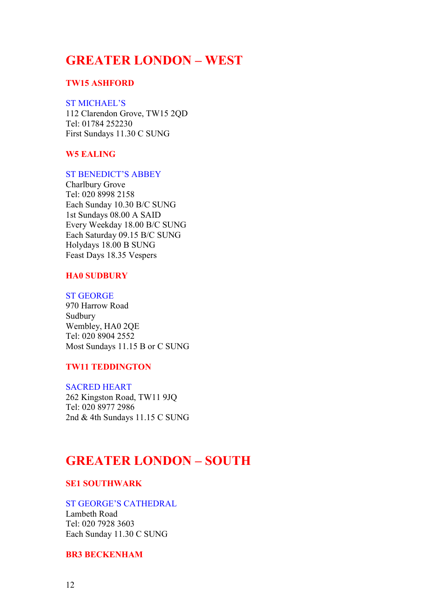# GREATER LONDON – WEST

### TW15 ASHFORD

### ST MICHAEL'S

112 Clarendon Grove, TW15 2QD Tel: 01784 252230 First Sundays 11.30 C SUNG

### W5 EALING

### ST BENEDICT'S ABBEY

Charlbury Grove Tel: 020 8998 2158 Each Sunday 10.30 B/C SUNG 1st Sundays 08.00 A SAID Every Weekday 18.00 B/C SUNG Each Saturday 09.15 B/C SUNG Holydays 18.00 B SUNG Feast Days 18.35 Vespers

### HA0 SUDBURY

### ST GEORGE

970 Harrow Road Sudbury Wembley, HA0 2QE Tel: 020 8904 2552 Most Sundays 11.15 B or C SUNG

### TW11 TEDDINGTON

#### SACRED HEART

262 Kingston Road, TW11 9JQ Tel: 020 8977 2986 2nd & 4th Sundays 11.15 C SUNG

## GREATER LONDON – SOUTH

### SE1 SOUTHWARK

### ST GEORGE'S CATHEDRAL

Lambeth Road Tel: 020 7928 3603 Each Sunday 11.30 C SUNG

### BR3 BECKENHAM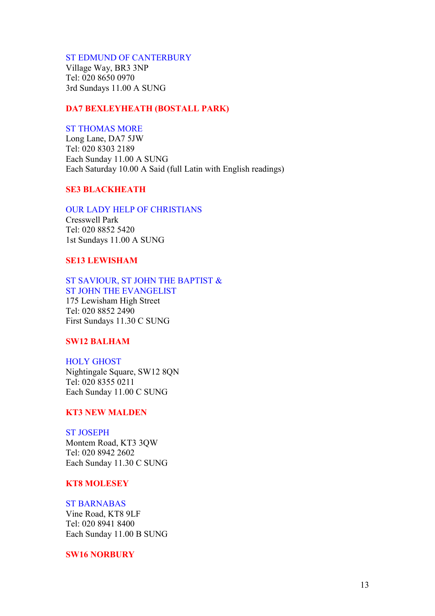#### ST EDMUND OF CANTERBURY

Village Way, BR3 3NP Tel: 020 8650 0970 3rd Sundays 11.00 A SUNG

### DA7 BEXLEYHEATH (BOSTALL PARK)

#### ST THOMAS MORE

Long Lane, DA7 5JW Tel: 020 8303 2189 Each Sunday 11.00 A SUNG Each Saturday 10.00 A Said (full Latin with English readings)

### SE3 BLACKHEATH

#### OUR LADY HELP OF CHRISTIANS

Cresswell Park Tel: 020 8852 5420 1st Sundays 11.00 A SUNG

### SE13 LEWISHAM

### ST SAVIOUR, ST JOHN THE BAPTIST & ST JOHN THE EVANGELIST

175 Lewisham High Street Tel: 020 8852 2490 First Sundays 11.30 C SUNG

### SW12 BALHAM

#### HOLY GHOST

Nightingale Square, SW12 8QN Tel: 020 8355 0211 Each Sunday 11.00 C SUNG

### KT3 NEW MALDEN

### ST JOSEPH

Montem Road, KT3 3QW Tel: 020 8942 2602 Each Sunday 11.30 C SUNG

#### KT8 MOLESEY

### ST BARNABAS

Vine Road, KT8 9LF Tel: 020 8941 8400 Each Sunday 11.00 B SUNG

SW16 NORBURY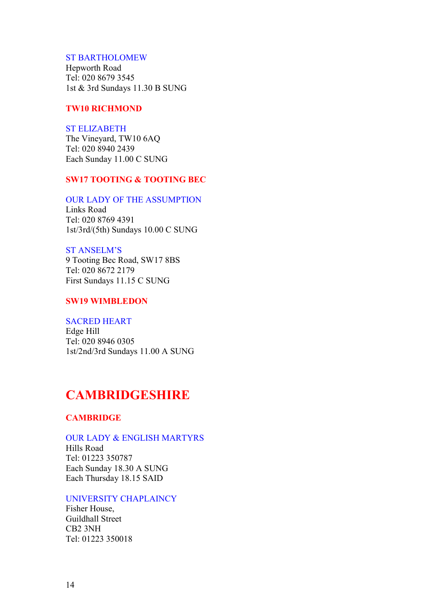### ST BARTHOLOMEW

Hepworth Road Tel: 020 8679 3545 1st & 3rd Sundays 11.30 B SUNG

### TW10 RICHMOND

### ST ELIZABETH

The Vineyard, TW10 6AQ Tel: 020 8940 2439 Each Sunday 11.00 C SUNG

### SW17 TOOTING & TOOTING BEC

### OUR LADY OF THE ASSUMPTION

Links Road Tel: 020 8769 4391 1st/3rd/(5th) Sundays 10.00 C SUNG

### ST ANSELM'S

9 Tooting Bec Road, SW17 8BS Tel: 020 8672 2179 First Sundays 11.15 C SUNG

### SW19 WIMBLEDON

### SACRED HEART

Edge Hill Tel: 020 8946 0305 1st/2nd/3rd Sundays 11.00 A SUNG

# **CAMBRIDGESHIRE**

### **CAMBRIDGE**

### OUR LADY & ENGLISH MARTYRS

Hills Road Tel: 01223 350787 Each Sunday 18.30 A SUNG Each Thursday 18.15 SAID

### UNIVERSITY CHAPLAINCY

Fisher House, Guildhall Street CB2 3NH Tel: 01223 350018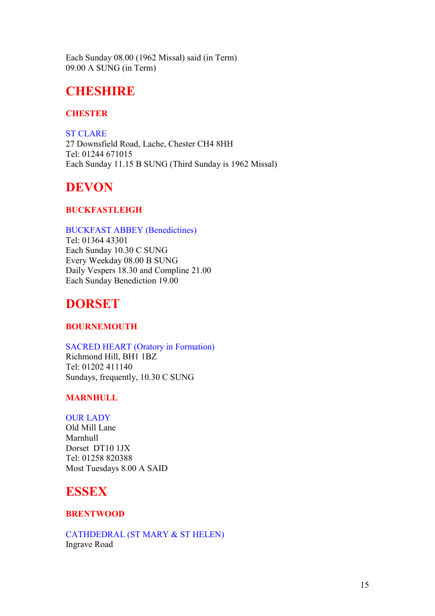Each Sunday 08.00 (1962 Missal) said (in Term) 09.00 A SUNG (in Term)

# **CHESHIRE**

### **CHESTER**

ST CLARE 27 Downsfield Road, Lache, Chester CH4 8HH Tel: 01244 671015 Each Sunday 11.15 B SUNG (Third Sunday is 1962 Missal)

# DEVON

### BUCKFASTLEIGH

### BUCKFAST ABBEY (Benedictines)

Tel: 01364 43301 Each Sunday 10.30 C SUNG Every Weekday 08.00 B SUNG Daily Vespers 18.30 and Compline 21.00 Each Sunday Benediction 19.00

# DORSET

### BOURNEMOUTH

### SACRED HEART (Oratory in Formation)

Richmond Hill, BH1 1BZ Tel: 01202 411140 Sundays, frequently, 10.30 C SUNG

### MARNHULL

### OUR LADY

Old Mill Lane Marnhull Dorset DT10 1JX Tel: 01258 820388 Most Tuesdays 8.00 A SAID

# ESSEX

### **BRENTWOOD**

CATHDEDRAL (ST MARY & ST HELEN) Ingrave Road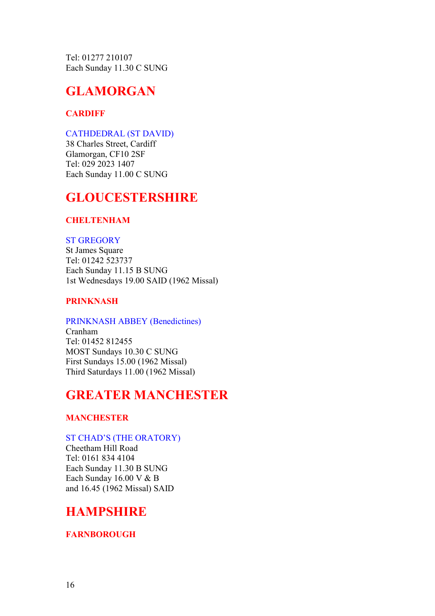Tel: 01277 210107 Each Sunday 11.30 C SUNG

# GLAMORGAN

### **CARDIFF**

### CATHDEDRAL (ST DAVID)

38 Charles Street, Cardiff Glamorgan, CF10 2SF Tel: 029 2023 1407 Each Sunday 11.00 C SUNG

# GLOUCESTERSHIRE

### **CHELTENHAM**

### ST GREGORY

St James Square Tel: 01242 523737 Each Sunday 11.15 B SUNG 1st Wednesdays 19.00 SAID (1962 Missal)

### PRINKNASH

### PRINKNASH ABBEY (Benedictines)

Cranham Tel: 01452 812455 MOST Sundays 10.30 C SUNG First Sundays 15.00 (1962 Missal) Third Saturdays 11.00 (1962 Missal)

# GREATER MANCHESTER

### **MANCHESTER**

### ST CHAD'S (THE ORATORY)

Cheetham Hill Road Tel: 0161 834 4104 Each Sunday 11.30 B SUNG Each Sunday 16.00 V & B and 16.45 (1962 Missal) SAID

# HAMPSHIRE

### **FARNBOROUGH**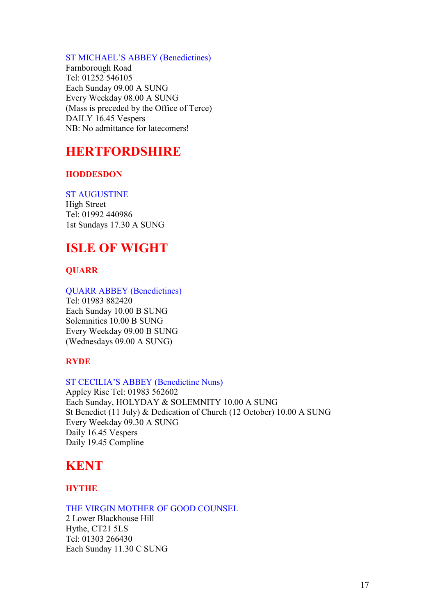### ST MICHAEL'S ABBEY (Benedictines)

Farnborough Road Tel: 01252 546105 Each Sunday 09.00 A SUNG Every Weekday 08.00 A SUNG (Mass is preceded by the Office of Terce) DAILY 16.45 Vespers NB: No admittance for latecomers!

# HERTFORDSHIRE

### **HODDESDON**

### ST AUGUSTINE

High Street Tel: 01992 440986 1st Sundays 17.30 A SUNG

# ISLE OF WIGHT

### **OUARR**

### QUARR ABBEY (Benedictines)

Tel: 01983 882420 Each Sunday 10.00 B SUNG Solemnities 10.00 B SUNG Every Weekday 09.00 B SUNG (Wednesdays 09.00 A SUNG)

### RYDE

### ST CECILIA'S ABBEY (Benedictine Nuns)

Appley Rise Tel: 01983 562602 Each Sunday, HOLYDAY & SOLEMNITY 10.00 A SUNG St Benedict (11 July) & Dedication of Church (12 October) 10.00 A SUNG Every Weekday 09.30 A SUNG Daily 16.45 Vespers Daily 19.45 Compline

# **KENT**

### HYTHE

### THE VIRGIN MOTHER OF GOOD COUNSEL

2 Lower Blackhouse Hill Hythe, CT21 5LS Tel: 01303 266430 Each Sunday 11.30 C SUNG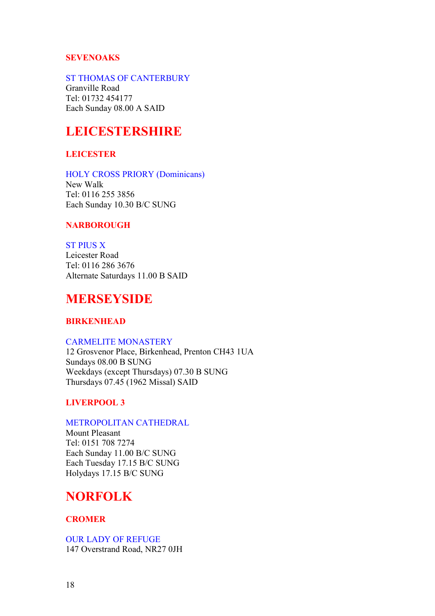### SEVENOAKS

### ST THOMAS OF CANTERBURY

Granville Road Tel: 01732 454177 Each Sunday 08.00 A SAID

# **LEICESTERSHIRE**

### **LEICESTER**

### HOLY CROSS PRIORY (Dominicans)

New Walk Tel: 0116 255 3856 Each Sunday 10.30 B/C SUNG

### **NARBOROUGH**

### ST PIUS X

Leicester Road Tel: 0116 286 3676 Alternate Saturdays 11.00 B SAID

# MERSEYSIDE

### BIRKENHEAD

### CARMELITE MONASTERY

12 Grosvenor Place, Birkenhead, Prenton CH43 1UA Sundays 08.00 B SUNG Weekdays (except Thursdays) 07.30 B SUNG Thursdays 07.45 (1962 Missal) SAID

### LIVERPOOL 3

### METROPOLITAN CATHEDRAL

Mount Pleasant Tel: 0151 708 7274 Each Sunday 11.00 B/C SUNG Each Tuesday 17.15 B/C SUNG Holydays 17.15 B/C SUNG

# NORFOLK

### **CROMER**

OUR LADY OF REFUGE 147 Overstrand Road, NR27 0JH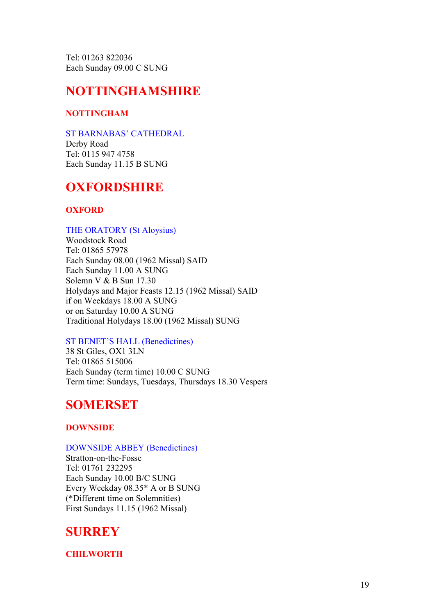Tel: 01263 822036 Each Sunday 09.00 C SUNG

# NOTTINGHAMSHIRE

### NOTTINGHAM

### ST BARNABAS' CATHEDRAL

Derby Road Tel: 0115 947 4758 Each Sunday 11.15 B SUNG

# **OXFORDSHIRE**

### **OXFORD**

### THE ORATORY (St Aloysius)

Woodstock Road Tel: 01865 57978 Each Sunday 08.00 (1962 Missal) SAID Each Sunday 11.00 A SUNG Solemn V & B Sun 17.30 Holydays and Major Feasts 12.15 (1962 Missal) SAID if on Weekdays 18.00 A SUNG or on Saturday 10.00 A SUNG Traditional Holydays 18.00 (1962 Missal) SUNG

### ST BENET'S HALL (Benedictines)

38 St Giles, OX1 3LN Tel: 01865 515006 Each Sunday (term time) 10.00 C SUNG Term time: Sundays, Tuesdays, Thursdays 18.30 Vespers

# **SOMERSET**

### DOWNSIDE

### DOWNSIDE ABBEY (Benedictines)

Stratton-on-the-Fosse Tel: 01761 232295 Each Sunday 10.00 B/C SUNG Every Weekday 08.35\* A or B SUNG (\*Different time on Solemnities) First Sundays 11.15 (1962 Missal)

## **SURREY**

**CHILWORTH**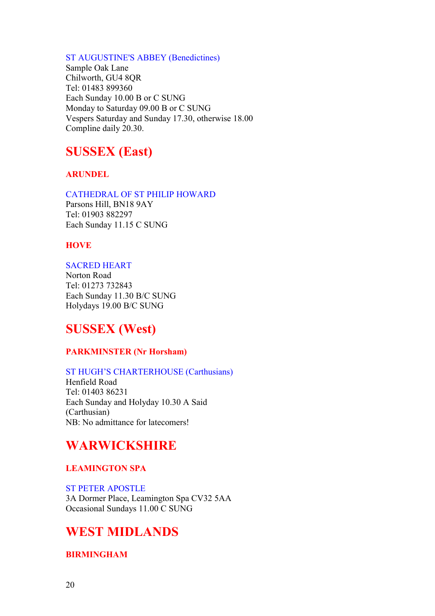### ST AUGUSTINE'S ABBEY (Benedictines)

Sample Oak Lane Chilworth, GU4 8QR Tel: 01483 899360 Each Sunday 10.00 B or C SUNG Monday to Saturday 09.00 B or C SUNG Vespers Saturday and Sunday 17.30, otherwise 18.00 Compline daily 20.30.

# SUSSEX (East)

### **ARUNDEL**

### CATHEDRAL OF ST PHILIP HOWARD

Parsons Hill, BN18 9AY Tel: 01903 882297 Each Sunday 11.15 C SUNG

### **HOVE**

### SACRED HEART

Norton Road Tel: 01273 732843 Each Sunday 11.30 B/C SUNG Holydays 19.00 B/C SUNG

# SUSSEX (West)

### PARKMINSTER (Nr Horsham)

### ST HUGH'S CHARTERHOUSE (Carthusians)

Henfield Road Tel: 01403 86231 Each Sunday and Holyday 10.30 A Said (Carthusian) NB: No admittance for latecomers!

# WARWICKSHIRE

### LEAMINGTON SPA

ST PETER APOSTLE 3A Dormer Place, Leamington Spa CV32 5AA Occasional Sundays 11.00 C SUNG

# WEST MIDLANDS

### BIRMINGHAM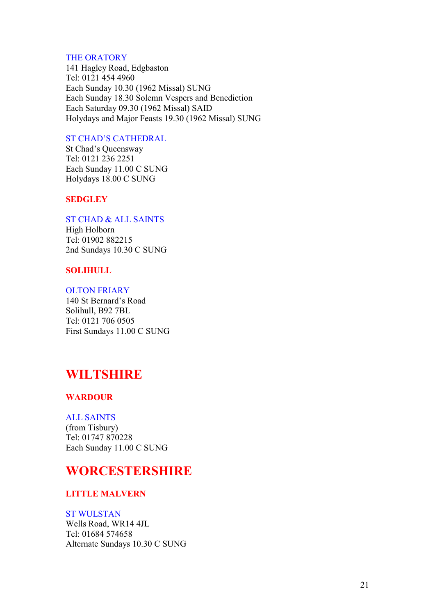### THE ORATORY

141 Hagley Road, Edgbaston Tel: 0121 454 4960 Each Sunday 10.30 (1962 Missal) SUNG Each Sunday 18.30 Solemn Vespers and Benediction Each Saturday 09.30 (1962 Missal) SAID Holydays and Major Feasts 19.30 (1962 Missal) SUNG

### ST CHAD'S CATHEDRAL

St Chad's Queensway Tel: 0121 236 2251 Each Sunday 11.00 C SUNG Holydays 18.00 C SUNG

### **SEDGLEY**

ST CHAD & ALL SAINTS

High Holborn Tel: 01902 882215 2nd Sundays 10.30 C SUNG

### SOLIHULL

### OLTON FRIARY

140 St Bernard's Road Solihull, B92 7BL Tel: 0121 706 0505 First Sundays 11.00 C SUNG

# WILTSHIRE

### WARDOUR

### ALL SAINTS

(from Tisbury) Tel: 01747 870228 Each Sunday 11.00 C SUNG

## **WORCESTERSHIRE**

### LITTLE MALVERN

### ST WULSTAN

Wells Road, WR14 4JL Tel: 01684 574658 Alternate Sundays 10.30 C SUNG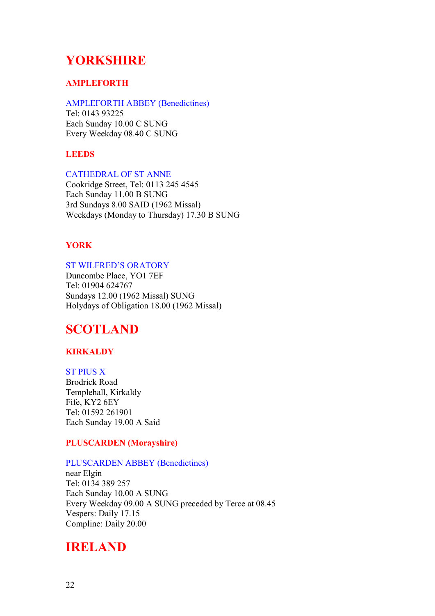# YORKSHIRE

### AMPLEFORTH

### AMPLEFORTH ABBEY (Benedictines)

Tel: 0143 93225 Each Sunday 10.00 C SUNG Every Weekday 08.40 C SUNG

### LEEDS

### CATHEDRAL OF ST ANNE

Cookridge Street, Tel: 0113 245 4545 Each Sunday 11.00 B SUNG 3rd Sundays 8.00 SAID (1962 Missal) Weekdays (Monday to Thursday) 17.30 B SUNG

### YORK

### ST WILFRED'S ORATORY

Duncombe Place, YO1 7EF Tel: 01904 624767 Sundays 12.00 (1962 Missal) SUNG Holydays of Obligation 18.00 (1962 Missal)

# **SCOTLAND**

### **KIRKALDY**

ST PIUS X Brodrick Road Templehall, Kirkaldy Fife, KY2 6EY Tel: 01592 261901 Each Sunday 19.00 A Said

### PLUSCARDEN (Morayshire)

### PLUSCARDEN ABBEY (Benedictines)

near Elgin Tel: 0134 389 257 Each Sunday 10.00 A SUNG Every Weekday 09.00 A SUNG preceded by Terce at 08.45 Vespers: Daily 17.15 Compline: Daily 20.00

### IRELAND